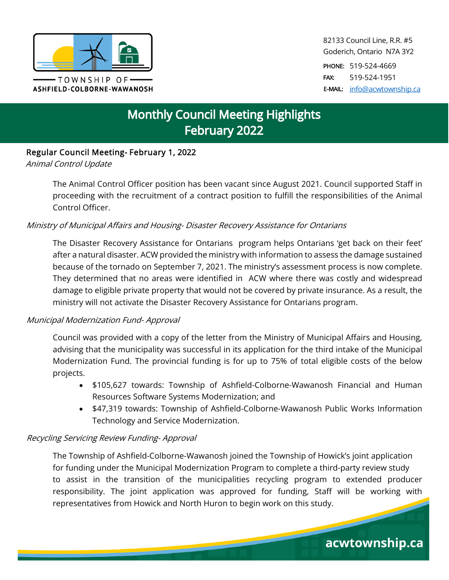

82133 Council Line, R.R. #5 Goderich, Ontario N7A 3Y2

PHONE: 519-524-4669 FAX: 519-524-1951 E-MAIL: [info@acwtownship.ca](mailto:info@acwtownship.ca)

acwtownship.ca

# **Monthly Council Meeting Highlights** February 2022

## Regular Council Meeting- February 1, 2022

Animal Control Update

The Animal Control Officer position has been vacant since August 2021. Council supported Staff in proceeding with the recruitment of a contract position to fulfill the responsibilities of the Animal Control Officer.

## Ministry of Municipal Affairs and Housing- Disaster Recovery Assistance for Ontarians

The Disaster Recovery Assistance for Ontarians program helps Ontarians 'get back on their feet' after a natural disaster. ACW provided the ministry with information to assess the damage sustained because of the tornado on September 7, 2021. The ministry's assessment process is now complete. They determined that no areas were identified in ACW where there was costly and widespread damage to eligible private property that would not be covered by private insurance. As a result, the ministry will not activate the Disaster Recovery Assistance for Ontarians program.

## Municipal Modernization Fund- Approval

Council was provided with a copy of the letter from the Ministry of Municipal Affairs and Housing, advising that the municipality was successful in its application for the third intake of the Municipal Modernization Fund. The provincial funding is for up to 75% of total eligible costs of the below projects.

- \$105,627 towards: Township of Ashfield-Colborne-Wawanosh Financial and Human Resources Software Systems Modernization; and
- \$47,319 towards: Township of Ashfield-Colborne-Wawanosh Public Works Information Technology and Service Modernization.

## Recycling Servicing Review Funding- Approval

The Township of Ashfield-Colborne-Wawanosh joined the Township of Howick's joint application for funding under the Municipal Modernization Program to complete a third-party review study to assist in the transition of the municipalities recycling program to extended producer responsibility. The joint application was approved for funding, Staff will be working with representatives from Howick and North Huron to begin work on this study.